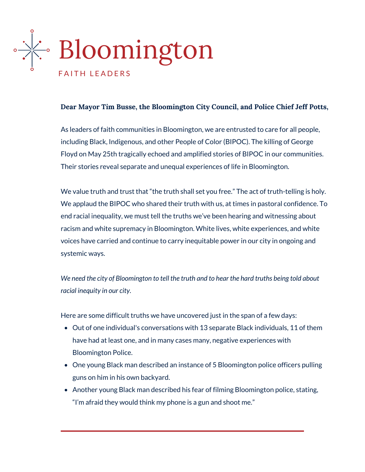

## **Dear Mayor Tim Busse, the Bloomington City Council, and Police Chief Jeff Potts,**

As leaders of faith communities in Bloomington, we are entrusted to care for all people, including Black, Indigenous, and other People of Color (BIPOC). The killing of George Floyd on May 25th tragically echoed and amplified stories of BIPOC in our communities. Their stories reveal separate and unequal experiences of life in Bloomington.

We value truth and trust that "the truth shall set you free." The act of truth-telling is holy. We applaud the BIPOC who shared their truth with us, at times in pastoral confidence. To end racial inequality, we must tell the truths we've been hearing and witnessing about racism and white supremacy in Bloomington. White lives, white experiences, and white voices have carried and continue to carry inequitable power in our city in ongoing and systemic ways.

We need the city of Bloomington to tell the truth and to hear the hard truths being told about *racial inequity in our city.*

Here are some difficult truths we have uncovered just in the span of a few days:

- Out of one individual's conversations with 13 separate Black individuals, 11 of them have had at least one, and in many cases many, negative experiences with Bloomington Police.
- One young Black man described an instance of 5 Bloomington police officers pulling guns on him in his own backyard.
- Another young Black man described his fear of filming Bloomington police, stating, "I'm afraid they would think my phone is a gun and shoot me."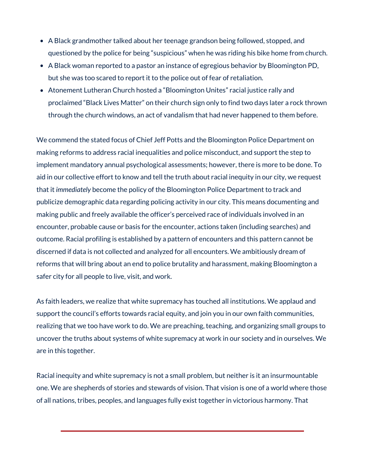- A Black grandmother talked about her teenage grandson being followed, stopped, and questioned by the police for being "suspicious" when he was riding his bike home from church.
- A Black woman reported to a pastor an instance of egregious behavior by Bloomington PD, but she was too scared to report it to the police out of fear of retaliation.
- Atonement Lutheran Church hosted a "Bloomington Unites" racial justice rally and proclaimed "Black Lives Matter" on their church sign only to find two days later a rock thrown through the church windows, an act of vandalism that had never happened to them before.

We commend the stated focus of Chief Jeff Potts and the Bloomington Police Department on making reforms to address racial inequalities and police misconduct, and support the step to implement mandatory annual psychological assessments; however, there is more to be done. To aid in our collective effort to know and tell the truth about racial inequity in our city, we request that it *immediately* become the policy of the Bloomington Police Department to track and publicize demographic data regarding policing activity in our city. This means documenting and making public and freely available the officer's perceived race of individuals involved in an encounter, probable cause or basis for the encounter, actions taken (including searches) and outcome. Racial profiling is established by a pattern of encounters and this pattern cannot be discerned if data is not collected and analyzed for all encounters. We ambitiously dream of reforms that will bring about an end to police brutality and harassment, making Bloomington a safer city for all people to live, visit, and work.

As faith leaders, we realize that white supremacy has touched all institutions. We applaud and support the council's efforts towards racial equity, and join you in our own faith communities, realizing that we too have work to do. We are preaching, teaching, and organizing small groups to uncover the truths about systems of white supremacy at work in our society and in ourselves. We are in this together.

Racial inequity and white supremacy is not a small problem, but neither is it an insurmountable one. We are shepherds of stories and stewards of vision. That vision is one of a world where those of all nations, tribes, peoples, and languages fully exist together in victorious harmony. That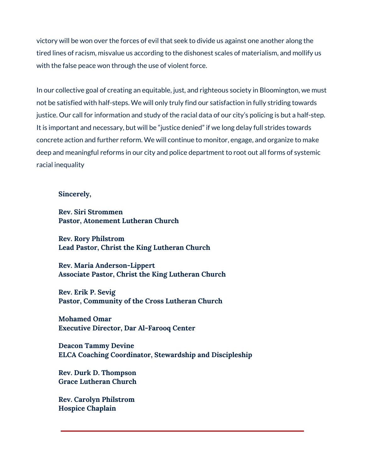victory will be won over the forces of evil that seek to divide us against one another along the tired lines of racism, misvalue us according to the dishonest scales of materialism, and mollify us with the false peace won through the use of violent force.

In our collective goal of creating an equitable, just, and righteous society in Bloomington, we must not be satisfied with half-steps. We will only truly find our satisfaction in fully striding towards justice. Our call for information and study of the racial data of our city's policing is but a half-step. It is important and necessary, but will be "justice denied" if we long delay full strides towards concrete action and further reform. We will continue to monitor, engage, and organize to make deep and meaningful reforms in our city and police department to root out all forms of systemic racial inequality

## **Sincerely,**

**Rev. Siri Strommen Pastor, Atonement Lutheran Church**

**Rev. Rory Philstrom Lead Pastor, Christ the King Lutheran Church**

**Rev. Maria Anderson-Lippert Associate Pastor, Christ the King Lutheran Church**

**Rev. Erik P. Sevig Pastor, Community of the Cross Lutheran Church**

**Mohamed Omar Executive Director, Dar Al-Farooq Center**

**Deacon Tammy Devine ELCA Coaching Coordinator, Stewardship and Discipleship**

**Rev. Durk D. Thompson Grace Lutheran Church**

**Rev. Carolyn Philstrom Hospice Chaplain**